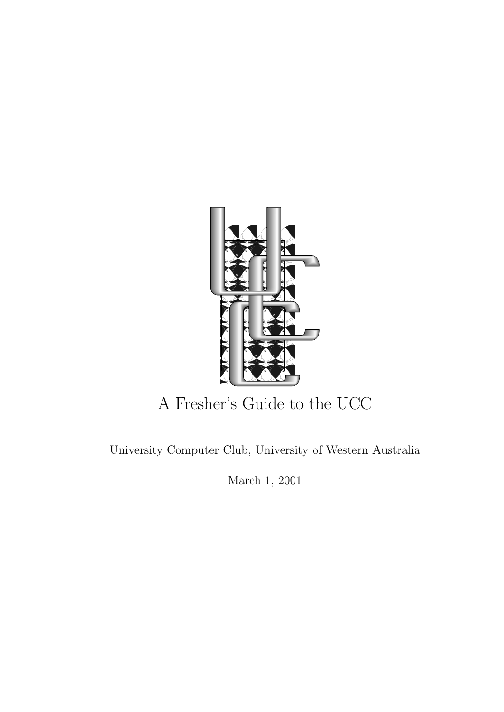

# A Fresher's Guide to the UCC

University Computer Club, University of Western Australia

March 1, 2001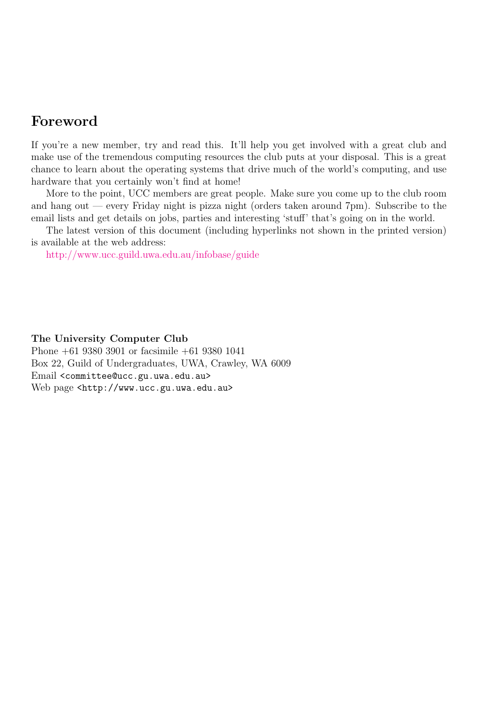### Foreword

If you're a new member, try and read this. It'll help you get involved with a great club and make use of the tremendous computing resources the club puts at your disposal. This is a great chance to learn about the operating systems that drive much of the world's computing, and use hardware that you certainly won't find at home!

More to the point, UCC members are great people. Make sure you come up to the club room and hang out — every Friday night is pizza night (orders taken around  $7 \text{pm}$ ). Subscribe to the email lists and get details on jobs, parties and interesting 'stuff' that's going on in the world.

The latest version of this document (including hyperlinks not shown in the printed version) is available at the web address:

<http://www.ucc.guild.uwa.edu.au/infobase/guide>

The University Computer Club

Phone +61 9380 3901 or facsimile +61 9380 1041 Box 22, Guild of Undergraduates, UWA, Crawley, WA 6009 Email <committee@ucc.gu.uwa.edu.au> Web page <http://www.ucc.gu.uwa.edu.au>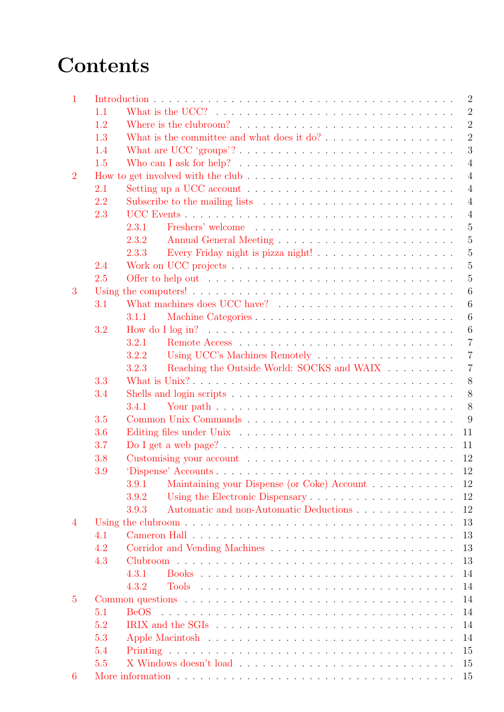# **Contents**

| $\mathbf{1}$   |     | $\overline{2}$                                                                                                                            |
|----------------|-----|-------------------------------------------------------------------------------------------------------------------------------------------|
|                | 1.1 | $\overline{2}$                                                                                                                            |
|                | 1.2 | Where is the clubroom? $\ldots$ , $\ldots$ , $\ldots$ , $\ldots$ , $\ldots$ , $\ldots$ , $\ldots$ , $\ldots$ , $\ldots$<br>$\overline{2}$ |
|                | 1.3 | $\overline{2}$<br>What is the committee and what does it $do? \ldots \ldots \ldots \ldots \ldots$                                         |
|                | 1.4 | 3                                                                                                                                         |
|                | 1.5 | $\overline{4}$<br>Who can I ask for help? $\ldots \ldots \ldots \ldots \ldots \ldots \ldots \ldots \ldots \ldots$                         |
| $\overline{2}$ |     | $\overline{4}$                                                                                                                            |
|                | 2.1 | $\overline{4}$<br>Setting up a UCC account $\ldots \ldots \ldots \ldots \ldots \ldots \ldots \ldots \ldots$                               |
|                | 2.2 | $\overline{4}$                                                                                                                            |
|                | 2.3 | $\overline{4}$                                                                                                                            |
|                |     | 5<br>2.3.1                                                                                                                                |
|                |     | 5<br>2.3.2                                                                                                                                |
|                |     | $\overline{5}$<br>2.3.3                                                                                                                   |
|                | 2.4 | $\overline{5}$                                                                                                                            |
|                | 2.5 | $\overline{5}$                                                                                                                            |
| 3              |     | $\boldsymbol{6}$                                                                                                                          |
|                | 3.1 | 6                                                                                                                                         |
|                |     | $\boldsymbol{6}$<br>3.1.1                                                                                                                 |
|                | 3.2 | $\boldsymbol{6}$                                                                                                                          |
|                |     | $\overline{7}$<br>3.2.1                                                                                                                   |
|                |     | 3.2.2<br>$\overline{7}$                                                                                                                   |
|                |     | $\overline{7}$<br>3.2.3                                                                                                                   |
|                |     | Reaching the Outside World: SOCKS and WAIX $\hfill\ldots\ldots\ldots\ldots$                                                               |
|                | 3.3 | 8                                                                                                                                         |
|                | 3.4 | 8                                                                                                                                         |
|                |     | 8<br>3.4.1                                                                                                                                |
|                | 3.5 | 9                                                                                                                                         |
|                | 3.6 | 11                                                                                                                                        |
|                | 3.7 | 11                                                                                                                                        |
|                | 3.8 | 12                                                                                                                                        |
|                | 3.9 | 12                                                                                                                                        |
|                |     | Maintaining your Dispense (or Coke) Account<br>12<br>3.9.1                                                                                |
|                |     | 12<br>3.9.2                                                                                                                               |
|                |     | Automatic and non-Automatic Deductions<br>12<br>3.9.3                                                                                     |
| 4              |     | 13                                                                                                                                        |
|                | 4.1 | 13                                                                                                                                        |
|                | 4.2 | 13                                                                                                                                        |
|                | 4.3 | 13                                                                                                                                        |
|                |     | 14<br>4.3.1                                                                                                                               |
|                |     | 14<br>4.3.2                                                                                                                               |
| $\overline{5}$ |     | 14                                                                                                                                        |
|                | 5.1 | <b>BeOS</b><br>14                                                                                                                         |
|                | 5.2 | 14                                                                                                                                        |
|                | 5.3 | 14                                                                                                                                        |
|                | 5.4 | 15                                                                                                                                        |
|                | 5.5 | 15                                                                                                                                        |
| 6              |     | 15                                                                                                                                        |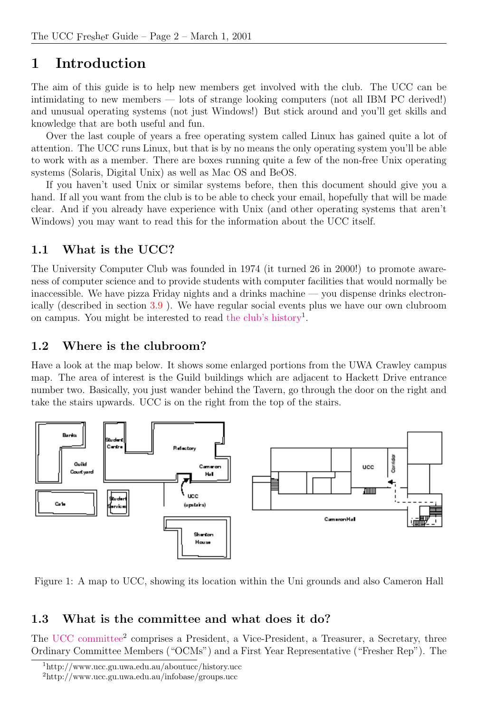## <span id="page-3-0"></span>1 Introduction

The aim of this guide is to help new members get involved with the club. The UCC can be intimidating to new members — lots of strange looking computers (not all IBM PC derived!) and unusual operating systems (not just Windows!) But stick around and you'll get skills and knowledge that are both useful and fun.

Over the last couple of years a free operating system called Linux has gained quite a lot of attention. The UCC runs Linux, but that is by no means the only operating system you'll be able to work with as a member. There are boxes running quite a few of the non-free Unix operating systems (Solaris, Digital Unix) as well as Mac OS and BeOS.

If you haven't used Unix or similar systems before, then this document should give you a hand. If all you want from the club is to be able to check your email, hopefully that will be made clear. And if you already have experience with Unix (and other operating systems that aren't Windows) you may want to read this for the information about the UCC itself.

### <span id="page-3-1"></span>1.1 What is the UCC?

The University Computer Club was founded in 1974 (it turned 26 in 2000!) to promote awareness of computer science and to provide students with computer facilities that would normally be inaccessible. We have pizza Friday nights and a drinks machine — you dispense drinks electronically (described in section [3.9](#page-13-1) ). We have regular social events plus we have our own clubroom on campus. You might be interested to read [the club's history](http://www.ucc.gu.uwa.edu.au/aboutucc/history.ucc)<sup>1</sup>.

### <span id="page-3-2"></span>1.2 Where is the clubroom?

Have a look at the map below. It shows some enlarged portions from the UWA Crawley campus map. The area of interest is the Guild buildings which are adjacent to Hackett Drive entrance number two. Basically, you just wander behind the Tavern, go through the door on the right and take the stairs upwards. UCC is on the right from the top of the stairs.



Figure 1: A map to UCC, showing its location within the Uni grounds and also Cameron Hall

### <span id="page-3-3"></span>1.3 What is the committee and what does it do?

The [UCC committee](http://www.ucc.gu.uwa.edu.au/infobase/groups.ucc)<sup>2</sup> comprises a President, a Vice-President, a Treasurer, a Secretary, three Ordinary Committee Members ("OCMs") and a First Year Representative ("Fresher Rep"). The

<sup>1</sup>http://www.ucc.gu.uwa.edu.au/aboutucc/history.ucc

<sup>2</sup>http://www.ucc.gu.uwa.edu.au/infobase/groups.ucc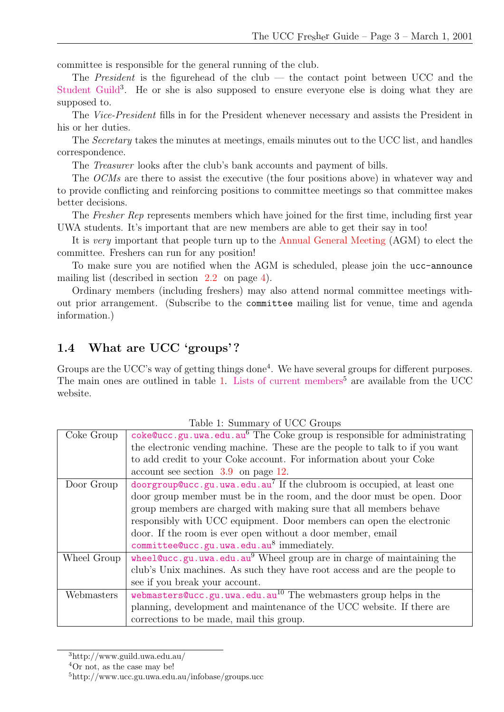committee is responsible for the general running of the club.

The *President* is the figurehead of the club — the contact point between UCC and the [Student Guild](http://www.guild.uwa.edu.au/)<sup>3</sup>. He or she is also supposed to ensure everyone else is doing what they are supposed to.

The Vice-President fills in for the President whenever necessary and assists the President in his or her duties.

The Secretary takes the minutes at meetings, emails minutes out to the UCC list, and handles correspondence.

The Treasurer looks after the club's bank accounts and payment of bills.

The OCMs are there to assist the executive (the four positions above) in whatever way and to provide conflicting and reinforcing positions to committee meetings so that committee makes better decisions.

The Fresher Rep represents members which have joined for the first time, including first year UWA students. It's important that are new members are able to get their say in too!

It is very important that people turn up to the Annual General Meeting (AGM) to elect the committee. Freshers can run for any position!

To make sure you are notified when the AGM is scheduled, please join the ucc-announce mailing list (described in section [2.2](#page-5-3) on page [4\)](#page-5-3).

Ordinary members (including freshers) may also attend normal committee meetings without prior arrangement. (Subscribe to the committee mailing list for venue, time and agenda information.)

### <span id="page-4-0"></span>1.4 What are UCC 'groups'?

Groups are the UCC's way of getting things done<sup>4</sup>. We have several groups for different purposes. The main ones are outlined in table [1](#page-4-1). [Lists of current members](http://www.ucc.gu.uwa.edu.au/infobase/groups.ucc)<sup>5</sup> are available from the UCC website.

|             | Table 1. Summary of UCC Groups                                                     |
|-------------|------------------------------------------------------------------------------------|
| Coke Group  | coke@ucc.gu.uwa.edu.au $6$ The Coke group is responsible for administrating        |
|             | the electronic vending machine. These are the people to talk to if you want        |
|             | to add credit to your Coke account. For information about your Coke                |
|             | $\alpha$ account see section 3.9 on page 12.                                       |
| Door Group  | doorgroup@ucc.gu.uwa.edu.au <sup>7</sup> If the clubroom is occupied, at least one |
|             | door group member must be in the room, and the door must be open. Door             |
|             | group members are charged with making sure that all members behave                 |
|             | responsibly with UCC equipment. Door members can open the electronic               |
|             | door. If the room is ever open without a door member, email                        |
|             | committee@ucc.gu.uwa.edu.au8 immediately.                                          |
| Wheel Group | wheel@ucc.gu.uwa.edu.au <sup>9</sup> Wheel group are in charge of maintaining the  |
|             | club's Unix machines. As such they have root access and are the people to          |
|             | see if you break your account.                                                     |
| Webmasters  | webmasters@ucc.gu.uwa.edu.au <sup>10</sup> The webmasters group helps in the       |
|             | planning, development and maintenance of the UCC website. If there are             |
|             | corrections to be made, mail this group.                                           |

<span id="page-4-1"></span>Table 1: Summary of UCC Groups

<sup>3</sup>http://www.guild.uwa.edu.au/

<sup>4</sup>Or not, as the case may be!

<sup>5</sup>http://www.ucc.gu.uwa.edu.au/infobase/groups.ucc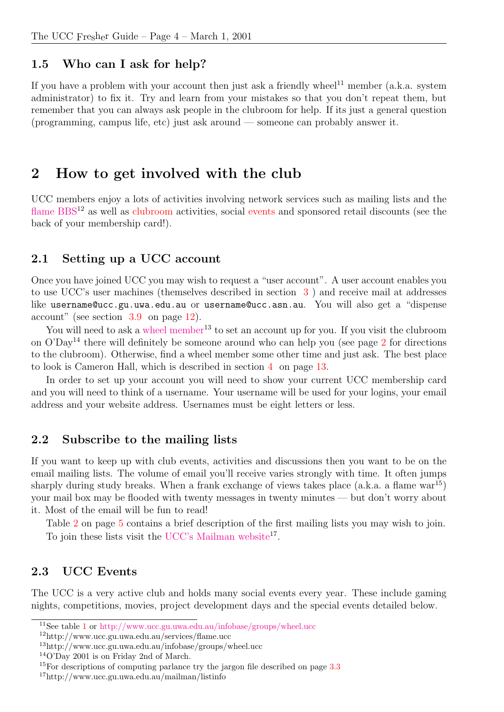#### <span id="page-5-0"></span>1.5 Who can I ask for help?

If you have a problem with your account then just ask a friendly wheel $^{11}$  member (a.k.a. system administrator) to fix it. Try and learn from your mistakes so that you don't repeat them, but remember that you can always ask people in the clubroom for help. If its just a general question (programming, campus life, etc) just ask around — someone can probably answer it.

### <span id="page-5-1"></span>2 How to get involved with the club

UCC members enjoy a lots of activities involving network services such as mailing lists and the [flame BBS](http://www.ucc.gu.uwa.edu.au/services/flame.ucc)<sup>12</sup> as well as clubroom activities, social events and sponsored retail discounts (see the back of your membership card!).

#### <span id="page-5-2"></span>2.1 Setting up a UCC account

Once you have joined UCC you may wish to request a "user account". A user account enables you to use UCC's user machines (themselves described in section [3](#page-7-0) ) and receive mail at addresses like username@ucc.gu.uwa.edu.au or username@ucc.asn.au. You will also get a "dispense account" (see section [3.9](#page-13-1) on page [12](#page-13-1)).

You will need to ask a [wheel member](http://www.ucc.gu.uwa.edu.au/infobase/groups/wheel.ucc)<sup>13</sup> to set an account up for you. If you visit the clubroom on  $O'Day<sup>14</sup>$  there will definitely be someone around who can help you (see page [2](#page-3-2) for directions to the clubroom). Otherwise, find a wheel member some other time and just ask. The best place to look is Cameron Hall, which is described in section [4](#page-14-0) on page [13](#page-14-0).

In order to set up your account you will need to show your current UCC membership card and you will need to think of a username. Your username will be used for your logins, your email address and your website address. Usernames must be eight letters or less.

#### <span id="page-5-3"></span>2.2 Subscribe to the mailing lists

If you want to keep up with club events, activities and discussions then you want to be on the email mailing lists. The volume of email you'll receive varies strongly with time. It often jumps sharply during study breaks. When a frank exchange of views takes place  $(a.k.a. a flame war<sup>15</sup>)$ your mail box may be flooded with twenty messages in twenty minutes — but don't worry about it. Most of the email will be fun to read!

Table [2](#page-6-5) on page [5](#page-6-5) contains a brief description of the first mailing lists you may wish to join. To join these lists visit the [UCC's Mailman website](http://www.ucc.gu.uwa.edu.au/mailman/listinfo)<sup>17</sup>.

### <span id="page-5-4"></span>2.3 UCC Events

The UCC is a very active club and holds many social events every year. These include gaming nights, competitions, movies, project development days and the special events detailed below.

<sup>11</sup>See table [1](#page-4-1) or <http://www.ucc.gu.uwa.edu.au/infobase/groups/wheel.ucc>

<sup>12</sup>http://www.ucc.gu.uwa.edu.au/services/flame.ucc

<sup>13</sup>http://www.ucc.gu.uwa.edu.au/infobase/groups/wheel.ucc

<sup>14</sup>O'Day 2001 is on Friday 2nd of March.

<sup>&</sup>lt;sup>15</sup>For descriptions of computing parlance try the jargon file described on page [3.3](#page-9-0)

<sup>17</sup>http://www.ucc.gu.uwa.edu.au/mailman/listinfo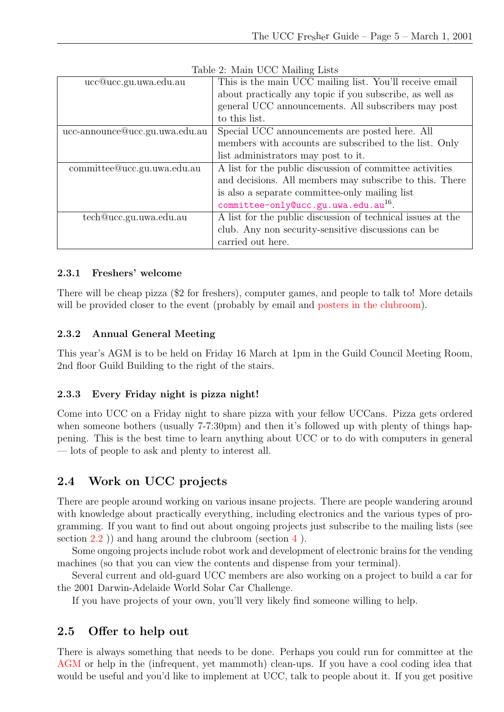| ucc@ucc.gu.uwa.edu.au          | This is the main UCC mailing list. You'll receive email     |
|--------------------------------|-------------------------------------------------------------|
|                                | about practically any topic if you subscribe, as well as    |
|                                | general UCC announcements. All subscribers may post         |
|                                | to this list.                                               |
| ucc-announce@ucc.gu.uwa.edu.au | Special UCC announcements are posted here. All              |
|                                | members with accounts are subscribed to the list. Only      |
|                                | list administrators may post to it.                         |
| committee@ucc.gu.uwa.edu.au    | A list for the public discussion of committee activities    |
|                                | and decisions. All members may subscribe to this. There     |
|                                | is also a separate committee-only mailing list              |
|                                | committee-onlyQucc.gu.uwa.edu.au <sup>16</sup> .            |
| tech@ucc.gu.uwa.edu.au         | A list for the public discussion of technical issues at the |
|                                | club. Any non security-sensitive discussions can be         |
|                                | carried out here.                                           |

<span id="page-6-5"></span>Table 2: Main UCC Mailing Lists

#### <span id="page-6-0"></span>2.3.1 Freshers' welcome

There will be cheap pizza (\$2 for freshers), computer games, and people to talk to! More details will be provided closer to the event (probably by email and posters in the clubroom).

#### <span id="page-6-1"></span>2.3.2 Annual General Meeting

This year's AGM is to be held on Friday 16 March at 1pm in the Guild Council Meeting Room, 2nd floor Guild Building to the right of the stairs.

#### <span id="page-6-2"></span>2.3.3 Every Friday night is pizza night!

Come into UCC on a Friday night to share pizza with your fellow UCCans. Pizza gets ordered when someone bothers (usually 7-7:30pm) and then it's followed up with plenty of things happening. This is the best time to learn anything about UCC or to do with computers in general — lots of people to ask and plenty to interest all.

### <span id="page-6-3"></span>2.4 Work on UCC projects

There are people around working on various insane projects. There are people wandering around with knowledge about practically everything, including electronics and the various types of programming. If you want to find out about ongoing projects just subscribe to the mailing lists (see section  $(2.2)$  $(2.2)$  $(2.2)$ ) and hang around the clubroom (section  $(4)$  $(4)$  $(4)$ ).

Some ongoing projects include robot work and development of electronic brains for the vending machines (so that you can view the contents and dispense from your terminal).

Several current and old-guard UCC members are also working on a project to build a car for the 2001 Darwin-Adelaide World Solar Car Challenge.

If you have projects of your own, you'll very likely find someone willing to help.

### <span id="page-6-4"></span>2.5 Offer to help out

There is always something that needs to be done. Perhaps you could run for committee at the AGM or help in the (infrequent, yet mammoth) clean-ups. If you have a cool coding idea that would be useful and you'd like to implement at UCC, talk to people about it. If you get positive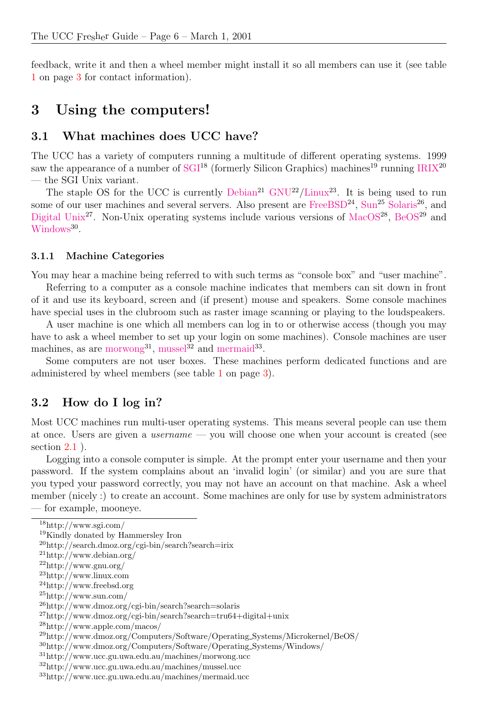feedback, write it and then a wheel member might install it so all members can use it (see table [1](#page-4-1) on page [3](#page-4-1) for contact information).

### <span id="page-7-0"></span>3 Using the computers!

#### <span id="page-7-1"></span>3.1 What machines does UCC have?

The UCC has a variety of computers running a multitude of different operating systems. 1999 saw the appearance of a number of  $SGI^{18}$  $SGI^{18}$  (formerly Silicon Graphics) machines<sup>19</sup> running [IRIX](http://search.dmoz.org/cgi-bin/search?search=irix)<sup>20</sup> — the SGI Unix variant.

The staple OS for the UCC is currently  $Debian<sup>21</sup> GNU<sup>22</sup>/Linux<sup>23</sup>$  $Debian<sup>21</sup> GNU<sup>22</sup>/Linux<sup>23</sup>$  $Debian<sup>21</sup> GNU<sup>22</sup>/Linux<sup>23</sup>$  $Debian<sup>21</sup> GNU<sup>22</sup>/Linux<sup>23</sup>$  $Debian<sup>21</sup> GNU<sup>22</sup>/Linux<sup>23</sup>$  $Debian<sup>21</sup> GNU<sup>22</sup>/Linux<sup>23</sup>$ . It is being used to run some of our user machines and several servers. Also present are [FreeBSD](http://www.freebsd.org)<sup>24</sup>, [Sun](http://www.sun.com/)<sup>25</sup> [Solaris](http://www.dmoz.org/cgi-bin/search?search=solaris)<sup>26</sup>, and [Digital Unix](http://www.dmoz.org/cgi-bin/search?search=tru64+digital+unix)<sup>27</sup>. Non-Unix operating systems include various versions of [MacOS](http://www.apple.com/macos/)<sup>28</sup>, [BeOS](http://www.dmoz.org/Computers/Software/Operating_Systems/Microkernel/BeOS/)<sup>29</sup> and [Windows](http://www.dmoz.org/Computers/Software/Operating_Systems/Windows/)<sup>30</sup>.

#### <span id="page-7-2"></span>3.1.1 Machine Categories

You may hear a machine being referred to with such terms as "console box" and "user machine".

Referring to a computer as a console machine indicates that members can sit down in front of it and use its keyboard, screen and (if present) mouse and speakers. Some console machines have special uses in the clubroom such as raster image scanning or playing to the loudspeakers.

A user machine is one which all members can log in to or otherwise access (though you may have to ask a wheel member to set up your login on some machines). Console machines are user machines, as are [morwong](http://www.ucc.gu.uwa.edu.au/machines/morwong.ucc)<sup>31</sup>, [mussel](http://www.ucc.gu.uwa.edu.au/machines/mussel.ucc)<sup>32</sup> and [mermaid](http://www.ucc.gu.uwa.edu.au/machines/mermaid.ucc)<sup>33</sup>.

Some computers are not user boxes. These machines perform dedicated functions and are administered by wheel members (see table [1](#page-4-1) on page [3\)](#page-4-1).

### <span id="page-7-3"></span>3.2 How do I log in?

Most UCC machines run multi-user operating systems. This means several people can use them at once. Users are given a username — you will choose one when your account is created (see section [2.1](#page-5-2) ).

Logging into a console computer is simple. At the prompt enter your username and then your password. If the system complains about an 'invalid login' (or similar) and you are sure that you typed your password correctly, you may not have an account on that machine. Ask a wheel member (nicely :) to create an account. Some machines are only for use by system administrators — for example, mooneye.

<sup>18</sup>http://www.sgi.com/

<sup>19</sup>Kindly donated by Hammersley Iron

 $^{20}$ http://search.dmoz.org/cgi-bin/search?search=irix

 $^{21}$ http://www.debian.org/

 $^{22}$ http://www.gnu.org/

<sup>23</sup>http://www.linux.com

<sup>24</sup>http://www.freebsd.org

<sup>25</sup>http://www.sun.com/

<sup>26</sup>http://www.dmoz.org/cgi-bin/search?search=solaris

<sup>27</sup>http://www.dmoz.org/cgi-bin/search?search=tru64+digital+unix

<sup>28</sup>http://www.apple.com/macos/

<sup>29</sup>http://www.dmoz.org/Computers/Software/Operating Systems/Microkernel/BeOS/

<sup>30</sup>http://www.dmoz.org/Computers/Software/Operating Systems/Windows/

 $\rm ^{31}$  http://www.ucc.gu.uwa.edu.au/machines/morwong.ucc

<sup>32</sup>http://www.ucc.gu.uwa.edu.au/machines/mussel.ucc

<sup>33</sup>http://www.ucc.gu.uwa.edu.au/machines/mermaid.ucc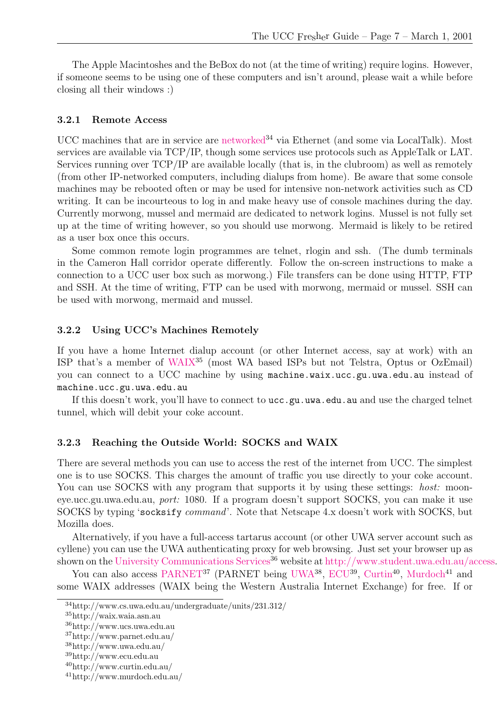The Apple Macintoshes and the BeBox do not (at the time of writing) require logins. However, if someone seems to be using one of these computers and isn't around, please wait a while before closing all their windows :)

#### <span id="page-8-0"></span>3.2.1 Remote Access

UCC machines that are in service are [networked](http://www.cs.uwa.edu.au/undergraduate/units/231.312/) $34$  via Ethernet (and some via LocalTalk). Most services are available via TCP/IP, though some services use protocols such as AppleTalk or LAT. Services running over TCP/IP are available locally (that is, in the clubroom) as well as remotely (from other IP-networked computers, including dialups from home). Be aware that some console machines may be rebooted often or may be used for intensive non-network activities such as CD writing. It can be incourteous to log in and make heavy use of console machines during the day. Currently morwong, mussel and mermaid are dedicated to network logins. Mussel is not fully set up at the time of writing however, so you should use morwong. Mermaid is likely to be retired as a user box once this occurs.

Some common remote login programmes are telnet, rlogin and ssh. (The dumb terminals in the Cameron Hall corridor operate differently. Follow the on-screen instructions to make a connection to a UCC user box such as morwong.) File transfers can be done using HTTP, FTP and SSH. At the time of writing, FTP can be used with morwong, mermaid or mussel. SSH can be used with morwong, mermaid and mussel.

#### <span id="page-8-1"></span>3.2.2 Using UCC's Machines Remotely

If you have a home Internet dialup account (or other Internet access, say at work) with an ISP that's a member of [WAIX](http://waix.waia.asn.au)<sup>35</sup> (most WA based ISPs but not Telstra, Optus or OzEmail) you can connect to a UCC machine by using machine.waix.ucc.gu.uwa.edu.au instead of machine.ucc.gu.uwa.edu.au

If this doesn't work, you'll have to connect to ucc.gu.uwa.edu.au and use the charged telnet tunnel, which will debit your coke account.

#### <span id="page-8-2"></span>3.2.3 Reaching the Outside World: SOCKS and WAIX

There are several methods you can use to access the rest of the internet from UCC. The simplest one is to use SOCKS. This charges the amount of traffic you use directly to your coke account. You can use SOCKS with any program that supports it by using these settings: *host:* mooneye.ucc.gu.uwa.edu.au, port: 1080. If a program doesn't support SOCKS, you can make it use SOCKS by typing 'socksify command'. Note that Netscape 4.x doesn't work with SOCKS, but Mozilla does.

Alternatively, if you have a full-access tartarus account (or other UWA server account such as cyllene) you can use the UWA authenticating proxy for web browsing. Just set your browser up as shown on the [University Communications Services](http://www.ucs.uwa.edu.au)<sup>36</sup> website at [http://www.student.uwa.edu.au/access.](http://www.student.uwa.edu.au/access)

You can also access [PARNET](http://www.parnet.edu.au/)<sup>37</sup> (PARNET being [UWA](http://www.uwa.edu.au/)<sup>38</sup>, [ECU](http://www.ecu.edu.au)<sup>39</sup>, [Curtin](http://www.curtin.edu.au/)<sup>40</sup>, [Murdoch](http://www.murdoch.edu.au/)<sup>41</sup> and some WAIX addresses (WAIX being the Western Australia Internet Exchange) for free. If or

<sup>34</sup>http://www.cs.uwa.edu.au/undergraduate/units/231.312/

 $^{\rm 35}$ http://waix.waia.asn.au

<sup>36</sup>http://www.ucs.uwa.edu.au

<sup>37</sup>http://www.parnet.edu.au/

<sup>38</sup>http://www.uwa.edu.au/

 $\rm ^{39}http://www.ecu.edu.au$ 

<sup>40</sup>http://www.curtin.edu.au/

<sup>41</sup>http://www.murdoch.edu.au/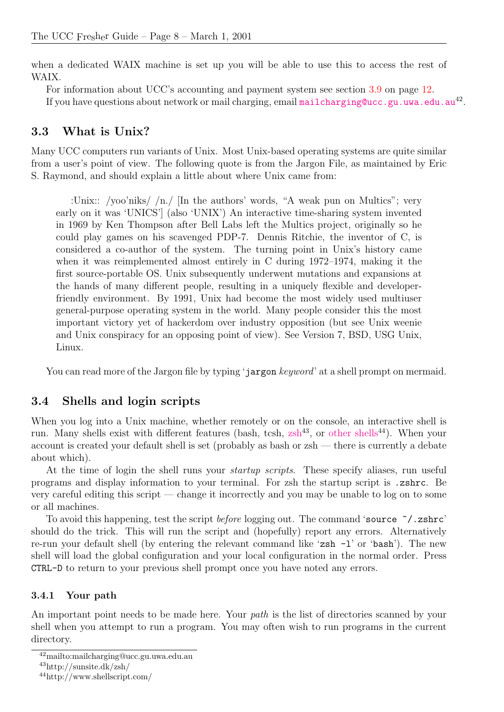when a dedicated WAIX machine is set up you will be able to use this to access the rest of WAIX.

For information about UCC's accounting and payment system see section [3.9](#page-13-1) on page [12](#page-13-1). If you have questions about network or mail charging, email mail charging @ucc.gu.uwa.edu.au<sup>42</sup>.

### <span id="page-9-0"></span>3.3 What is Unix?

Many UCC computers run variants of Unix. Most Unix-based operating systems are quite similar from a user's point of view. The following quote is from the Jargon File, as maintained by Eric S. Raymond, and should explain a little about where Unix came from:

:Unix:: /yoo'niks/ /n./ [In the authors' words, "A weak pun on Multics"; very early on it was 'UNICS'] (also 'UNIX') An interactive time-sharing system invented in 1969 by Ken Thompson after Bell Labs left the Multics project, originally so he could play games on his scavenged PDP-7. Dennis Ritchie, the inventor of C, is considered a co-author of the system. The turning point in Unix's history came when it was reimplemented almost entirely in C during 1972–1974, making it the first source-portable OS. Unix subsequently underwent mutations and expansions at the hands of many different people, resulting in a uniquely flexible and developerfriendly environment. By 1991, Unix had become the most widely used multiuser general-purpose operating system in the world. Many people consider this the most important victory yet of hackerdom over industry opposition (but see Unix weenie and Unix conspiracy for an opposing point of view). See Version 7, BSD, USG Unix, Linux.

You can read more of the Jargon file by typing 'jargon keyword' at a shell prompt on mermaid.

### <span id="page-9-1"></span>3.4 Shells and login scripts

When you log into a Unix machine, whether remotely or on the console, an interactive shell is run. Many shells exist with different features (bash, tcsh,  $zsh^{43}$  $zsh^{43}$ , or [other shells](http://www.shellscript.com/)<sup>44</sup>). When your account is created your default shell is set (probably as bash or zsh — there is currently a debate about which).

At the time of login the shell runs your *startup scripts*. These specify aliases, run useful programs and display information to your terminal. For zsh the startup script is .zshrc. Be very careful editing this script — change it incorrectly and you may be unable to log on to some or all machines.

To avoid this happening, test the script before logging out. The command 'source ~/.zshrc' should do the trick. This will run the script and (hopefully) report any errors. Alternatively re-run your default shell (by entering the relevant command like 'zsh -l' or 'bash'). The new shell will load the global configuration and your local configuration in the normal order. Press CTRL-D to return to your previous shell prompt once you have noted any errors.

#### <span id="page-9-2"></span>3.4.1 Your path

An important point needs to be made here. Your *path* is the list of directories scanned by your shell when you attempt to run a program. You may often wish to run programs in the current directory.

<sup>42</sup>mailto:mailcharging@ucc.gu.uwa.edu.au

<sup>43</sup>http://sunsite.dk/zsh/

<sup>44</sup>http://www.shellscript.com/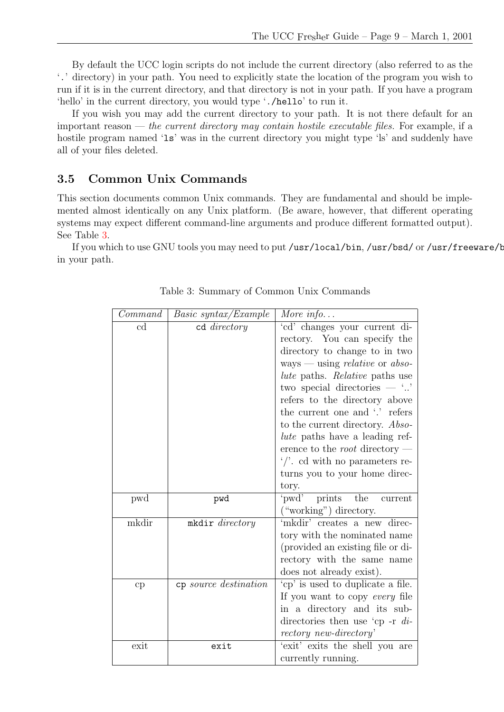By default the UCC login scripts do not include the current directory (also referred to as the '.' directory) in your path. You need to explicitly state the location of the program you wish to run if it is in the current directory, and that directory is not in your path. If you have a program 'hello' in the current directory, you would type './hello' to run it.

If you wish you may add the current directory to your path. It is not there default for an important reason — the current directory may contain hostile executable files. For example, if a hostile program named '1s' was in the current directory you might type 'ls' and suddenly have all of your files deleted.

### <span id="page-10-0"></span>3.5 Common Unix Commands

This section documents common Unix commands. They are fundamental and should be implemented almost identically on any Unix platform. (Be aware, however, that different operating systems may expect different command-line arguments and produce different formatted output). See Table [3](#page-10-1).

<span id="page-10-1"></span>If you which to use GNU tools you may need to put /usr/local/bin, /usr/bsd/ or /usr/freeware/b in your path.

| Command | Basic syntax/Example  | More info                                    |
|---------|-----------------------|----------------------------------------------|
| cd      | cd directory          | 'cd' changes your current di-                |
|         |                       | rectory. You can specify the                 |
|         |                       | directory to change to in two                |
|         |                       | ways — using <i>relative</i> or <i>abso-</i> |
|         |                       | <i>lute</i> paths. Relative paths use        |
|         |                       | two special directories $ \cdot$ .           |
|         |                       | refers to the directory above                |
|         |                       | the current one and '.' refers               |
|         |                       | to the current directory. Abso-              |
|         |                       | lute paths have a leading ref-               |
|         |                       | erence to the <i>root</i> directory —        |
|         |                       | $\frac{1}{2}$ . cd with no parameters re-    |
|         |                       | turns you to your home direc-                |
|         |                       | tory.                                        |
| pwd     | pwd                   | 'pwd'<br>the<br>prints<br>current            |
|         |                       | ("working") directory.                       |
| mkdir   | mkdir directory       | 'mkdir' creates a new direc-                 |
|         |                       | tory with the nominated name                 |
|         |                       | (provided an existing file or di-            |
|         |                       | rectory with the same name                   |
|         |                       | does not already exist).                     |
| cp      | cp source destination | 'cp' is used to duplicate a file.            |
|         |                       | If you want to copy every file               |
|         |                       | in a directory and its sub-                  |
|         |                       | directories then use 'cp -r $di$ -           |
|         |                       | rectory new-directory'                       |
| exit    | exit                  | 'exit' exits the shell you are               |
|         |                       | currently running.                           |

Table 3: Summary of Common Unix Commands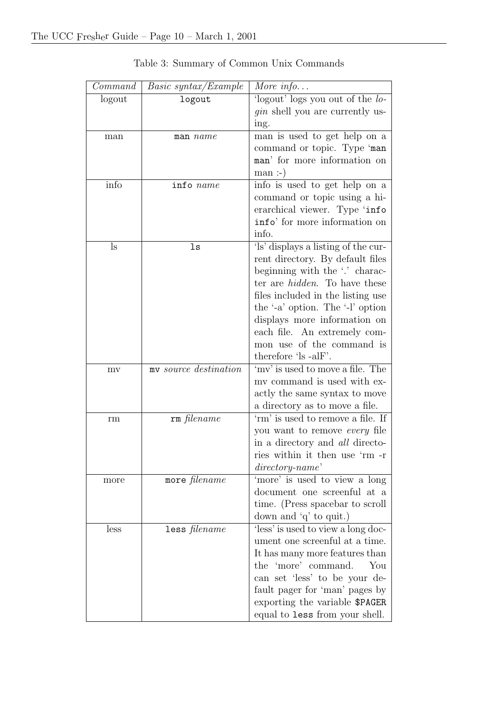| Command | <i>Basic syntax/Example</i> | More info                                |
|---------|-----------------------------|------------------------------------------|
| logout  | logout                      | 'logout' logs you out of the <i>lo</i> - |
|         |                             | <i>gin</i> shell you are currently us-   |
|         |                             | ing.                                     |
| man     | $man$ $name$                | man is used to get help on a             |
|         |                             | command or topic. Type 'man              |
|         |                             | man' for more information on             |
|         |                             | man:                                     |
| info    | info name                   | info is used to get help on a            |
|         |                             | command or topic using a hi-             |
|         |                             | erarchical viewer. Type 'info            |
|         |                             | info' for more information on            |
|         |                             | info.                                    |
| ls      | ls                          | 'ls' displays a listing of the cur-      |
|         |                             | rent directory. By default files         |
|         |                             | beginning with the '.' charac-           |
|         |                             | ter are <i>hidden</i> . To have these    |
|         |                             | files included in the listing use        |
|         |                             | the '-a' option. The '-l' option         |
|         |                             | displays more information on             |
|         |                             | each file. An extremely com-             |
|         |                             | mon use of the command is                |
|         |                             | therefore 'ls -alF'.                     |
| mv      | my source destination       | 'my' is used to move a file. The         |
|         |                             | my command is used with ex-              |
|         |                             | actly the same syntax to move            |
|         |                             | a directory as to move a file.           |
| rm      | rm filename                 | 'rm' is used to remove a file. If        |
|         |                             | you want to remove every file            |
|         |                             | in a directory and <i>all</i> directo-   |
|         |                             | ries within it then use 'rm -r           |
|         |                             | $directory\text{-}name$                  |
| more    | more filename               | 'more' is used to view a long            |
|         |                             | document one screenful at a              |
|         |                             | time. (Press spacebar to scroll          |
|         |                             | down and $q'$ to quit.)                  |
| less    | less filename               | 'less' is used to view a long doc-       |
|         |                             | ument one screenful at a time.           |
|         |                             | It has many more features than           |
|         |                             | the 'more' command.<br>You               |
|         |                             | can set 'less' to be your de-            |
|         |                             | fault pager for 'man' pages by           |
|         |                             | exporting the variable \$PAGER           |
|         |                             | equal to less from your shell.           |

Table 3: Summary of Common Unix Commands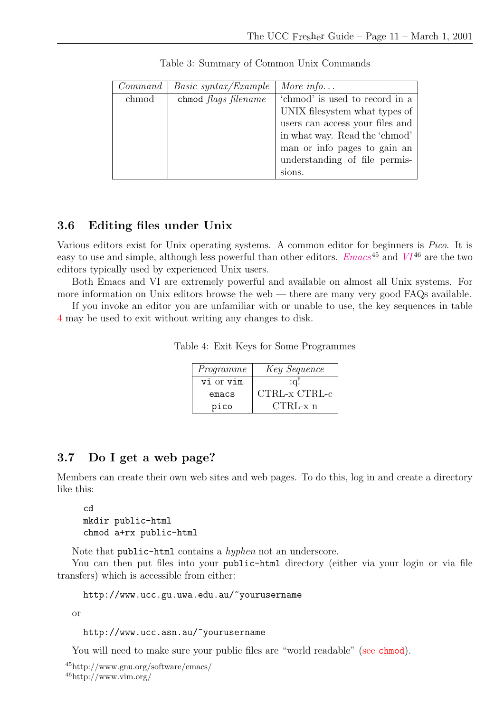| Command | <i>Basic syntax/Example</i> | More info                       |
|---------|-----------------------------|---------------------------------|
| chmod   | chmod <i>flags filename</i> | 'chmod' is used to record in a  |
|         |                             | UNIX filesystem what types of   |
|         |                             | users can access your files and |
|         |                             | in what way. Read the 'chmod'   |
|         |                             | man or info pages to gain an    |
|         |                             | understanding of file permis-   |
|         |                             | sions.                          |

Table 3: Summary of Common Unix Commands

### <span id="page-12-0"></span>3.6 Editing files under Unix

Various editors exist for Unix operating systems. A common editor for beginners is Pico. It is easy to use and simple, although less powerful than other editors.  $Emacs^{45}$  $Emacs^{45}$  and  $VI^{46}$  $VI^{46}$  are the two editors typically used by experienced Unix users.

Both Emacs and VI are extremely powerful and available on almost all Unix systems. For more information on Unix editors browse the web — there are many very good FAQs available.

If you invoke an editor you are unfamiliar with or unable to use, the key sequences in table [4](#page-12-2) may be used to exit without writing any changes to disk.

|  |  | Table 4: Exit Keys for Some Programmes |
|--|--|----------------------------------------|
|  |  |                                        |

<span id="page-12-2"></span>

| Programme | Key Sequence  |
|-----------|---------------|
| vi or vim | $:\,a!\,$     |
| emacs     | CTRL-x CTRL-c |
| pico      | $CTRL-x$ n    |

### <span id="page-12-1"></span>3.7 Do I get a web page?

Members can create their own web sites and web pages. To do this, log in and create a directory like this:

```
cd
mkdir public-html
chmod a+rx public-html
```
Note that public-html contains a *hyphen* not an underscore.

You can then put files into your public-html directory (either via your login or via file transfers) which is accessible from either:

http://www.ucc.gu.uwa.edu.au/~yourusername

or

http://www.ucc.asn.au/~yourusername

You will need to make sure your public files are "world readable" (see chmod).

```
45http://www.gnu.org/software/emacs/
^{46}http://www.vim.org/
```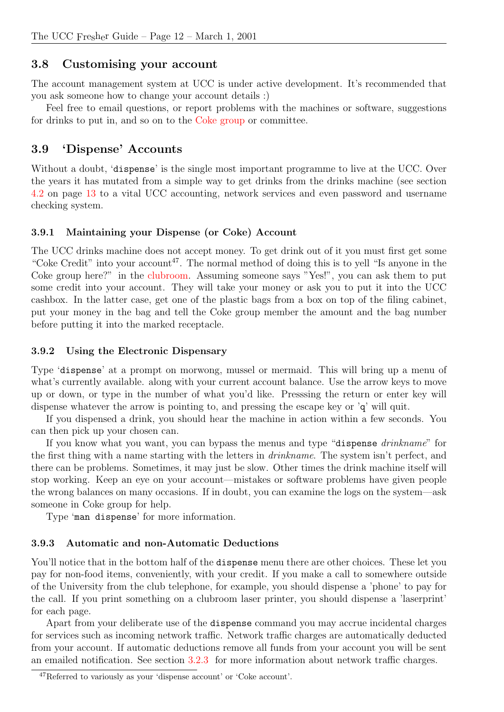### <span id="page-13-0"></span>3.8 Customising your account

The account management system at UCC is under active development. It's recommended that you ask someone how to change your account details :)

Feel free to email questions, or report problems with the machines or software, suggestions for drinks to put in, and so on to the Coke group or committee.

### <span id="page-13-1"></span>3.9 'Dispense' Accounts

Without a doubt, 'dispense' is the single most important programme to live at the UCC. Over the years it has mutated from a simple way to get drinks from the drinks machine (see section [4.2](#page-14-2) on page [13](#page-14-2) to a vital UCC accounting, network services and even password and username checking system.

### <span id="page-13-2"></span>3.9.1 Maintaining your Dispense (or Coke) Account

The UCC drinks machine does not accept money. To get drink out of it you must first get some "Coke Credit" into your account<sup>47</sup>. The normal method of doing this is to yell "Is anyone in the Coke group here?" in the clubroom. Assuming someone says "Yes!", you can ask them to put some credit into your account. They will take your money or ask you to put it into the UCC cashbox. In the latter case, get one of the plastic bags from a box on top of the filing cabinet, put your money in the bag and tell the Coke group member the amount and the bag number before putting it into the marked receptacle.

#### <span id="page-13-3"></span>3.9.2 Using the Electronic Dispensary

Type 'dispense' at a prompt on morwong, mussel or mermaid. This will bring up a menu of what's currently available. along with your current account balance. Use the arrow keys to move up or down, or type in the number of what you'd like. Presssing the return or enter key will dispense whatever the arrow is pointing to, and pressing the escape key or 'q' will quit.

If you dispensed a drink, you should hear the machine in action within a few seconds. You can then pick up your chosen can.

If you know what you want, you can bypass the menus and type "dispense drinkname" for the first thing with a name starting with the letters in drinkname. The system isn't perfect, and there can be problems. Sometimes, it may just be slow. Other times the drink machine itself will stop working. Keep an eye on your account—mistakes or software problems have given people the wrong balances on many occasions. If in doubt, you can examine the logs on the system—ask someone in Coke group for help.

Type 'man dispense' for more information.

#### <span id="page-13-4"></span>3.9.3 Automatic and non-Automatic Deductions

You'll notice that in the bottom half of the **dispense** menu there are other choices. These let you pay for non-food items, conveniently, with your credit. If you make a call to somewhere outside of the University from the club telephone, for example, you should dispense a 'phone' to pay for the call. If you print something on a clubroom laser printer, you should dispense a 'laserprint' for each page.

Apart from your deliberate use of the dispense command you may accrue incidental charges for services such as incoming network traffic. Network traffic charges are automatically deducted from your account. If automatic deductions remove all funds from your account you will be sent an emailed notification. See section [3.2.3](#page-8-2) for more information about network traffic charges.

<sup>47</sup>Referred to variously as your 'dispense account' or 'Coke account'.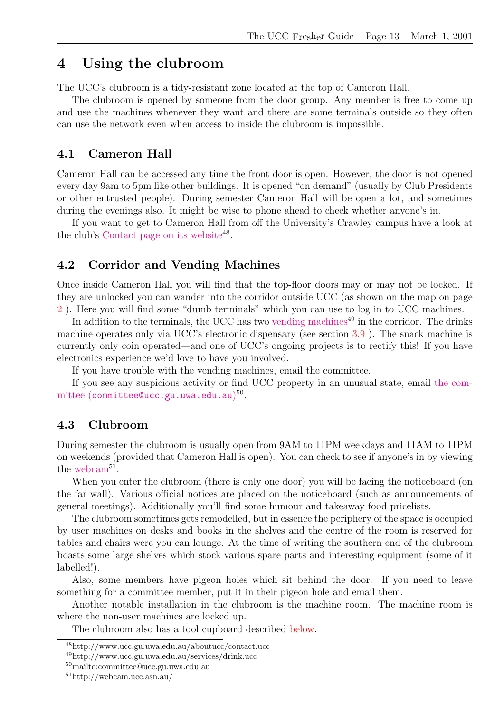### <span id="page-14-0"></span>4 Using the clubroom

The UCC's clubroom is a tidy-resistant zone located at the top of Cameron Hall.

The clubroom is opened by someone from the door group. Any member is free to come up and use the machines whenever they want and there are some terminals outside so they often can use the network even when access to inside the clubroom is impossible.

#### <span id="page-14-1"></span>4.1 Cameron Hall

Cameron Hall can be accessed any time the front door is open. However, the door is not opened every day 9am to 5pm like other buildings. It is opened "on demand" (usually by Club Presidents or other entrusted people). During semester Cameron Hall will be open a lot, and sometimes during the evenings also. It might be wise to phone ahead to check whether anyone's in.

If you want to get to Cameron Hall from off the University's Crawley campus have a look at the club's [Contact page on its website](http://www.ucc.gu.uwa.edu.au/aboutucc/contact.ucc)<sup>48</sup>.

#### <span id="page-14-2"></span>4.2 Corridor and Vending Machines

Once inside Cameron Hall you will find that the top-floor doors may or may not be locked. If they are unlocked you can wander into the corridor outside UCC (as shown on the map on page [2](#page-3-2) ). Here you will find some "dumb terminals" which you can use to log in to UCC machines.

In addition to the terminals, the UCC has two [vending machines](http://www.ucc.gu.uwa.edu.au/services/drink.ucc)<sup>49</sup> in the corridor. The drinks machine operates only via UCC's electronic dispensary (see section [3.9](#page-13-1) ). The snack machine is currently only coin operated—and one of UCC's ongoing projects is to rectify this! If you have electronics experience we'd love to have you involved.

If you have trouble with the vending machines, email the committee.

If you see any suspicious activity or find UCC property in an unusual state, email [the com](mailto:committee@ucc.gu.uwa.edu.au) $\text{mittee (committee@ucc.gu.uwa.edu.au)^{50}}.$  $\text{mittee (committee@ucc.gu.uwa.edu.au)^{50}}.$  $\text{mittee (committee@ucc.gu.uwa.edu.au)^{50}}.$ 

#### <span id="page-14-3"></span>4.3 Clubroom

During semester the clubroom is usually open from 9AM to 11PM weekdays and 11AM to 11PM on weekends (provided that Cameron Hall is open). You can check to see if anyone's in by viewing the [webcam](http://webcam.ucc.asn.au/)<sup>51</sup>.

When you enter the clubroom (there is only one door) you will be facing the noticeboard (on the far wall). Various official notices are placed on the noticeboard (such as announcements of general meetings). Additionally you'll find some humour and takeaway food pricelists.

The clubroom sometimes gets remodelled, but in essence the periphery of the space is occupied by user machines on desks and books in the shelves and the centre of the room is reserved for tables and chairs were you can lounge. At the time of writing the southern end of the clubroom boasts some large shelves which stock various spare parts and interesting equipment (some of it labelled!).

Also, some members have pigeon holes which sit behind the door. If you need to leave something for a committee member, put it in their pigeon hole and email them.

Another notable installation in the clubroom is the machine room. The machine room is where the non-user machines are locked up.

The clubroom also has a tool cupboard described below.

<sup>48</sup>http://www.ucc.gu.uwa.edu.au/aboutucc/contact.ucc

<sup>49</sup>http://www.ucc.gu.uwa.edu.au/services/drink.ucc

<sup>50</sup>mailto:committee@ucc.gu.uwa.edu.au

<sup>51</sup>http://webcam.ucc.asn.au/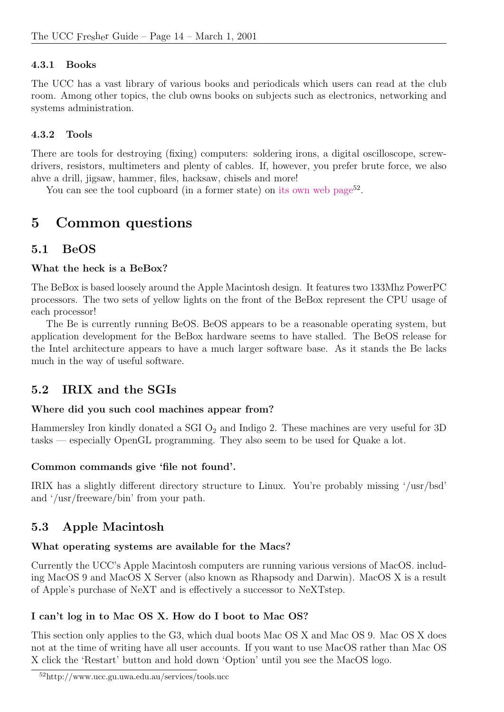### <span id="page-15-0"></span>4.3.1 Books

The UCC has a vast library of various books and periodicals which users can read at the club room. Among other topics, the club owns books on subjects such as electronics, networking and systems administration.

### <span id="page-15-1"></span>4.3.2 Tools

There are tools for destroying (fixing) computers: soldering irons, a digital oscilloscope, screwdrivers, resistors, multimeters and plenty of cables. If, however, you prefer brute force, we also ahve a drill, jigsaw, hammer, files, hacksaw, chisels and more!

You can see the tool cupboard (in a former state) on [its own web page](http://www.ucc.gu.uwa.edu.au/services/tools.ucc)<sup>52</sup>.

## <span id="page-15-2"></span>5 Common questions

### <span id="page-15-3"></span>5.1 BeOS

### What the heck is a BeBox?

The BeBox is based loosely around the Apple Macintosh design. It features two 133Mhz PowerPC processors. The two sets of yellow lights on the front of the BeBox represent the CPU usage of each processor!

The Be is currently running BeOS. BeOS appears to be a reasonable operating system, but application development for the BeBox hardware seems to have stalled. The BeOS release for the Intel architecture appears to have a much larger software base. As it stands the Be lacks much in the way of useful software.

### <span id="page-15-4"></span>5.2 IRIX and the SGIs

### Where did you such cool machines appear from?

Hammersley Iron kindly donated a SGI  $O_2$  and Indigo 2. These machines are very useful for 3D tasks — especially OpenGL programming. They also seem to be used for Quake a lot.

### Common commands give 'file not found'.

IRIX has a slightly different directory structure to Linux. You're probably missing '/usr/bsd' and '/usr/freeware/bin' from your path.

### <span id="page-15-5"></span>5.3 Apple Macintosh

### What operating systems are available for the Macs?

Currently the UCC's Apple Macintosh computers are running various versions of MacOS. including MacOS 9 and MacOS X Server (also known as Rhapsody and Darwin). MacOS X is a result of Apple's purchase of NeXT and is effectively a successor to NeXTstep.

### I can't log in to Mac OS X. How do I boot to Mac OS?

This section only applies to the G3, which dual boots Mac OS X and Mac OS 9. Mac OS X does not at the time of writing have all user accounts. If you want to use MacOS rather than Mac OS X click the 'Restart' button and hold down 'Option' until you see the MacOS logo.

<sup>52</sup>http://www.ucc.gu.uwa.edu.au/services/tools.ucc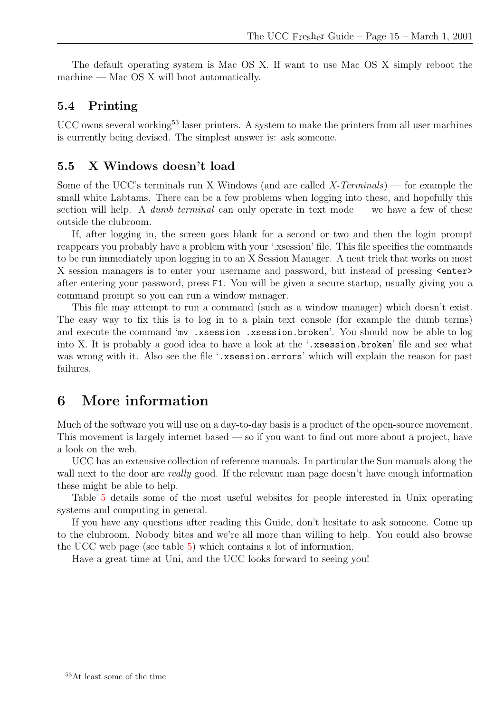The default operating system is Mac OS X. If want to use Mac OS X simply reboot the machine — Mac OS X will boot automatically.

### <span id="page-16-0"></span>5.4 Printing

 $UCC$  owns several working<sup>53</sup> laser printers. A system to make the printers from all user machines is currently being devised. The simplest answer is: ask someone.

#### <span id="page-16-1"></span>5.5 X Windows doesn't load

Some of the UCC's terminals run X Windows (and are called X-Terminals) — for example the small white Labtams. There can be a few problems when logging into these, and hopefully this section will help. A *dumb terminal* can only operate in text mode — we have a few of these outside the clubroom.

If, after logging in, the screen goes blank for a second or two and then the login prompt reappears you probably have a problem with your '.xsession' file. This file specifies the commands to be run immediately upon logging in to an X Session Manager. A neat trick that works on most X session managers is to enter your username and password, but instead of pressing  $\leq$ nter> after entering your password, press F1. You will be given a secure startup, usually giving you a command prompt so you can run a window manager.

This file may attempt to run a command (such as a window manager) which doesn't exist. The easy way to fix this is to log in to a plain text console (for example the dumb terms) and execute the command 'mv .xsession .xsession.broken'. You should now be able to log into X. It is probably a good idea to have a look at the '.xsession.broken' file and see what was wrong with it. Also see the file '.xsession.errors' which will explain the reason for past failures.

### <span id="page-16-2"></span>6 More information

Much of the software you will use on a day-to-day basis is a product of the open-source movement. This movement is largely internet based — so if you want to find out more about a project, have a look on the web.

UCC has an extensive collection of reference manuals. In particular the Sun manuals along the wall next to the door are *really* good. If the relevant man page doesn't have enough information these might be able to help.

Table [5](#page-17-0) details some of the most useful websites for people interested in Unix operating systems and computing in general.

If you have any questions after reading this Guide, don't hesitate to ask someone. Come up to the clubroom. Nobody bites and we're all more than willing to help. You could also browse the UCC web page (see table [5\)](#page-17-0) which contains a lot of information.

Have a great time at Uni, and the UCC looks forward to seeing you!

<sup>53</sup>At least some of the time